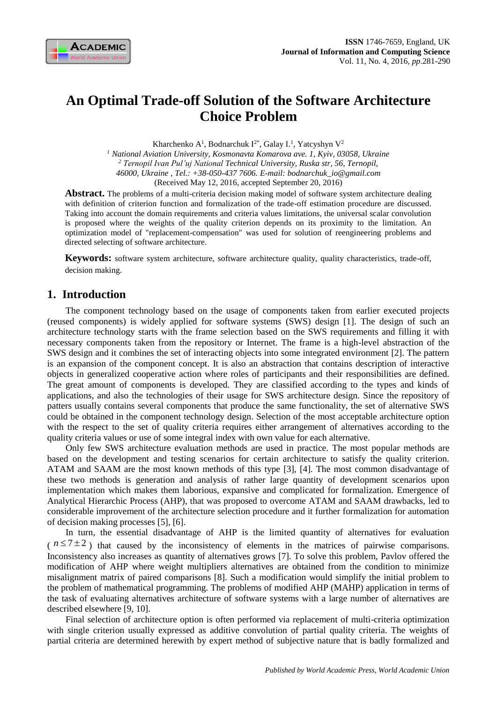

# **An Optimal Trade-off Solution of the Software Architecture Choice Problem**

Kharchenko A<sup>1</sup>, Bodnarchuk I<sup>2\*</sup>, Galay I.<sup>1</sup>, Yatcyshyn V<sup>2</sup>

*<sup>1</sup> National Aviation University, Kosmonavta Komarova ave. 1, Kyiv, 03058, Ukraine <sup>2</sup> Ternopil Ivan Pul'uj National Technical University, Ruska str, 56, Ternopil, 46000, Ukraine , Tel.: +38-050-437 7606. E-mail: bodnarchuk\_io@gmail.com* (Received May 12, 2016, accepted September 20, 2016)

**Abstract.** The problems of a multi-criteria decision making model of software system architecture dealing with definition of criterion function and formalization of the trade-off estimation procedure are discussed. Taking into account the domain requirements and criteria values limitations, the universal scalar convolution is proposed where the weights of the quality criterion depends on its proximity to the limitation. An optimization model of "replacement-compensation" was used for solution of reengineering problems and directed selecting of software architecture.

**Keywords:** software system architecture, software architecture quality, quality characteristics, trade-off, decision making.

# **1. Introduction**

The component technology based on the usage of components taken from earlier executed projects (reused components) is widely applied for software systems (SWS) design [1]. The design of such an architecture technology starts with the frame selection based on the SWS requirements and filling it with necessary components taken from the repository or Internet. The frame is a high-level abstraction of the SWS design and it combines the set of interacting objects into some integrated environment [2]. The pattern is an expansion of the component concept. It is also an abstraction that contains description of interactive objects in generalized cooperative action where roles of participants and their responsibilities are defined. The great amount of components is developed. They are classified according to the types and kinds of applications, and also the technologies of their usage for SWS architecture design. Since the repository of patters usually contains several components that produce the same functionality, the set of alternative SWS could be obtained in the component technology design. Selection of the most acceptable architecture option with the respect to the set of quality criteria requires either arrangement of alternatives according to the quality criteria values or use of some integral index with own value for each alternative.

Only few SWS architecture evaluation methods are used in practice. The most popular methods are based on the development and testing scenarios for certain architecture to satisfy the quality criterion. ATAM and SAAM are the most known methods of this type [3], [4]. The most common disadvantage of these two methods is generation and analysis of rather large quantity of development scenarios upon implementation which makes them laborious, expansive and complicated for formalization. Emergence of Analytical Hierarchic Process (AHP), that was proposed to overcome ATAM and SAAM drawbacks, led to considerable improvement of the architecture selection procedure and it further formalization for automation of decision making processes [5], [6].

In turn, the essential disadvantage of AHP is the limited quantity of alternatives for evaluation  $(n \leq 7 \pm 2)$  that caused by the inconsistency of elements in the matrices of pairwise comparisons. Inconsistency also increases as quantity of alternatives grows [7]. To solve this problem, Pavlov offered the modification of AHP where weight multipliers alternatives are obtained from the condition to minimize misalignment matrix of paired comparisons [8]. Such a modification would simplify the initial problem to the problem of mathematical programming. The problems of modified AHP (MAHP) application in terms of the task of evaluating alternatives architecture of software systems with a large number of alternatives are described elsewhere [9, 10].

Final selection of architecture option is often performed via replacement of multi-criteria optimization with single criterion usually expressed as additive convolution of partial quality criteria. The weights of partial criteria are determined herewith by expert method of subjective nature that is badly formalized and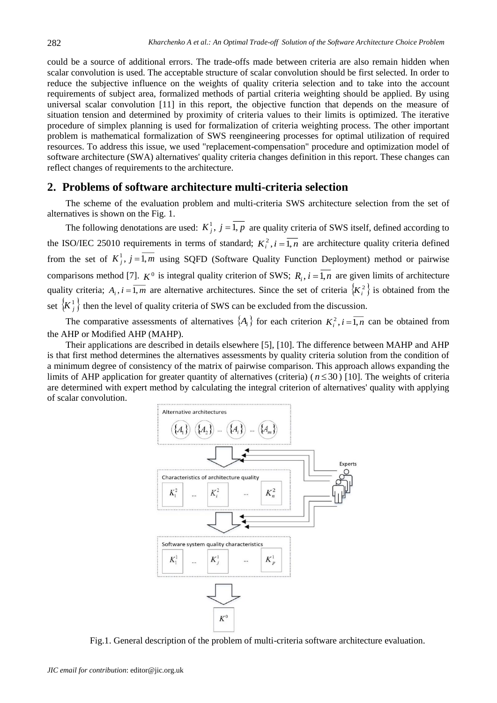could be a source of additional errors. The trade-offs made between criteria are also remain hidden when scalar convolution is used. The acceptable structure of scalar convolution should be first selected. In order to reduce the subjective influence on the weights of quality criteria selection and to take into the account requirements of subject area, formalized methods of partial criteria weighting should be applied. By using universal scalar convolution [11] in this report, the objective function that depends on the measure of situation tension and determined by proximity of criteria values to their limits is optimized. The iterative procedure of simplex planning is used for formalization of criteria weighting process. The other important problem is mathematical formalization of SWS reengineering processes for optimal utilization of required resources. To address this issue, we used "replacement-compensation" procedure and optimization model of software architecture (SWA) alternatives' quality criteria changes definition in this report. These changes can reflect changes of requirements to the architecture.

# **2. Problems of software architecture multi-criteria selection**

The scheme of the evaluation problem and multi-criteria SWS architecture selection from the set of alternatives is shown on the Fig. 1.

The following denotations are used:  $K_j^1$ ,  $j = 1$ ,  $p$  are quality criteria of SWS itself, defined according to the ISO/IEC 25010 requirements in terms of standard;  $K_i^2$ ,  $i = 1, n$  are architecture quality criteria defined from the set of  $K_j^1$ ,  $j = 1, m$  using SQFD (Software Quality Function Deployment) method or pairwise comparisons method [7].  $K^0$  is integral quality criterion of SWS;  $R_i$ ,  $i = 1, n$  are given limits of architecture quality criteria;  $A_i$ ,  $i = \overline{1,m}$  are alternative architectures. Since the set of criteria  $\{K_i^2\}$  is obtained from the set  $\{K_j^1\}$  then the level of quality criteria of SWS can be excluded from the discussion.

The comparative assessments of alternatives  $\{A_i\}$  for each criterion  $K_i^2$ ,  $i = \overline{1,n}$  can be obtained from the AHP or Modified AHP (MAHP).

Their applications are described in details elsewhere [5], [10]. The difference between MAHP and AHP is that first method determines the alternatives assessments by quality criteria solution from the condition of a minimum degree of consistency of the matrix of pairwise comparison. This approach allows expanding the limits of AHP application for greater quantity of alternatives (criteria)  $(n \leq 30)$  [10]. The weights of criteria are determined with expert method by calculating the integral criterion of alternatives' quality with applying of scalar convolution.



Fig.1. General description of the problem of multi-criteria software architecture evaluation.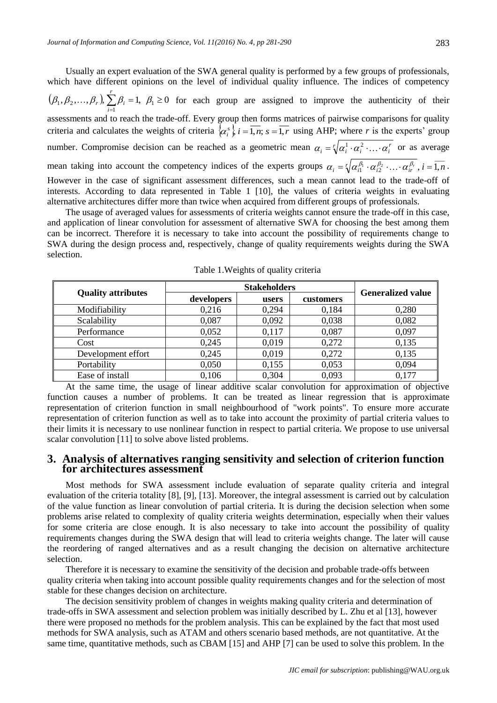Usually an expert evaluation of the SWA general quality is performed by a few groups of professionals, which have different opinions on the level of individual quality influence. The indices of competency  $(\beta_1, \beta_2, ..., \beta_r), \sum_{i=1}^r \beta_i = 1, \ \beta_1 \geq 0$ assessments and to reach the trade-off. Every group then forms matrices of pairwise comparisons for quality assessments  $\ldots, \beta_r$ ,  $\sum_i \beta_i = 1$ ,  $\beta_1 \geq 0$  for each group are assigned to improve the authenticity of their criteria and calculates the weights of criteria  $\{\alpha_i^s\}$ ,  $i = \overline{1, n}$ ;  $s = \overline{1, r}$  using AHP; where *r* is the experts' group number. Compromise decision can be reached as a geometric mean  $\alpha_i = \sqrt[r]{\alpha_i^1 \cdot \alpha_i^2 \cdot \ldots \cdot \alpha_i^r}$  or as average mean taking into account the competency indices of the experts groups  $\alpha_i = \sqrt[n]{\alpha_{i1}^{\beta_1} \cdot \alpha_{i2}^{\beta_2} \cdot \ldots \cdot \alpha_{ir}^{\beta_r}}$ ,  $i = 1, n$ . However in the case of significant assessment differences, such a mean cannot lead to the trade-off of interests. According to data represented in Table 1 [10], the values of criteria weights in evaluating alternative architectures differ more than twice when acquired from different groups of professionals.

The usage of averaged values for assessments of criteria weights cannot ensure the trade-off in this case, and application of linear convolution for assessment of alternative SWA for choosing the best among them can be incorrect. Therefore it is necessary to take into account the possibility of requirements change to SWA during the design process and, respectively, change of quality requirements weights during the SWA selection.

| <b>Quality attributes</b> | <b>Stakeholders</b> |       |           |                          |
|---------------------------|---------------------|-------|-----------|--------------------------|
|                           | developers          | users | customers | <b>Generalized value</b> |
| Modifiability             | 0,216               | 0,294 | 0,184     | 0,280                    |
| Scalability               | 0,087               | 0,092 | 0,038     | 0,082                    |
| Performance               | 0,052               | 0,117 | 0,087     | 0,097                    |
| Cost                      | 0,245               | 0.019 | 0,272     | 0,135                    |
| Development effort        | 0,245               | 0.019 | 0,272     | 0,135                    |
| Portability               | 0,050               | 0,155 | 0,053     | 0,094                    |
| Ease of install           | 0.106               | 0,304 | 0,093     | 0.177                    |

Table 1.Weights of quality criteria

At the same time, the usage of linear additive scalar convolution for approximation of objective function causes a number of problems. It can be treated as linear regression that is approximate representation of criterion function in small neighbourhood of "work points". To ensure more accurate representation of criterion function as well as to take into account the proximity of partial criteria values to their limits it is necessary to use nonlinear function in respect to partial criteria. We propose to use universal scalar convolution [11] to solve above listed problems.

#### **3. Analysis of alternatives ranging sensitivity and selection of criterion function for architectures assessment**

Most methods for SWA assessment include evaluation of separate quality criteria and integral evaluation of the criteria totality [8], [9], [13]. Moreover, the integral assessment is carried out by calculation of the value function as linear convolution of partial criteria. It is during the decision selection when some problems arise related to complexity of quality criteria weights determination, especially when their values for some criteria are close enough. It is also necessary to take into account the possibility of quality requirements changes during the SWA design that will lead to criteria weights change. The later will cause the reordering of ranged alternatives and as a result changing the decision on alternative architecture selection.

Therefore it is necessary to examine the sensitivity of the decision and probable trade-offs between quality criteria when taking into account possible quality requirements changes and for the selection of most stable for these changes decision on architecture.

The decision sensitivity problem of changes in weights making quality criteria and determination of trade-offs in SWA assessment and selection problem was initially described by L. Zhu et al [13], however there were proposed no methods for the problem analysis. This can be explained by the fact that most used methods for SWA analysis, such as ATAM and others scenario based methods, are not quantitative. At the same time, quantitative methods, such as CBAM [15] and AHP [7] can be used to solve this problem. In the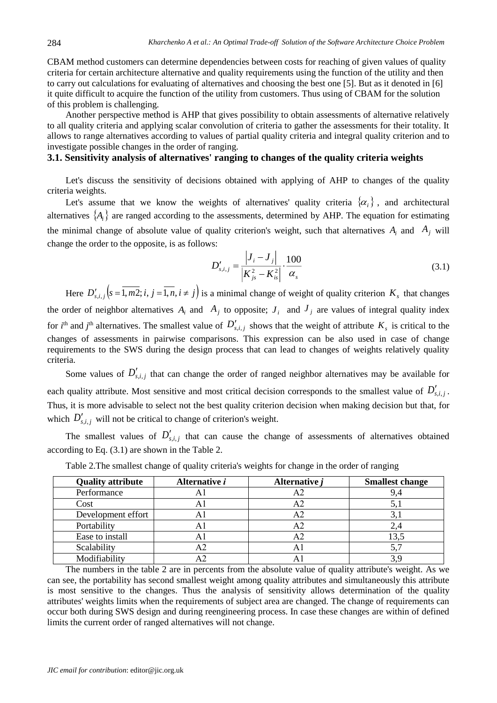CBAM method customers can determine dependencies between costs for reaching of given values of quality criteria for certain architecture alternative and quality requirements using the function of the utility and then to carry out calculations for evaluating of alternatives and choosing the best one [5]. But as it denoted in [6] it quite difficult to acquire the function of the utility from customers. Thus using of CBAM for the solution of this problem is challenging.

Another perspective method is AHP that gives possibility to obtain assessments of alternative relatively to all quality criteria and applying scalar convolution of criteria to gather the assessments for their totality. It allows to range alternatives according to values of partial quality criteria and integral quality criterion and to investigate possible changes in the order of ranging.

#### **3.1. Sensitivity analysis of alternatives' ranging to changes of the quality criteria weights**

Let's discuss the sensitivity of decisions obtained with applying of AHP to changes of the quality criteria weights.

Let's assume that we know the weights of alternatives' quality criteria  $\{\alpha_i\}$ , and architectural alternatives  $\{A_i\}$  are ranged according to the assessments, determined by AHP. The equation for estimating the minimal change of absolute value of quality criterion's weight, such that alternatives  $A_i$  and  $A_j$  will change the order to the opposite, is as follows:

$$
D'_{s,i,j} = \frac{|J_i - J_j|}{|K_{js}^2 - K_{is}^2|} \cdot \frac{100}{\alpha_s}
$$
 (3.1)

Here  $D'_{s,i,j} (s = \overline{1,m2}; i, j = \overline{1,n}, i \neq j)$  is a minimal change of weight of quality criterion  $K_s$  that changes the order of neighbor alternatives  $A_i$  and  $A_j$  to opposite;  $J_i$  and  $J_j$  are values of integral quality index for  $i^{\text{th}}$  and  $j^{\text{th}}$  alternatives. The smallest value of  $D'_{s,i,j}$  shows that the weight of attribute  $K_s$  is critical to the changes of assessments in pairwise comparisons. This expression can be also used in case of change requirements to the SWS during the design process that can lead to changes of weights relatively quality criteria.

Some values of  $D'_{s,i,j}$  that can change the order of ranged neighbor alternatives may be available for each quality attribute. Most sensitive and most critical decision corresponds to the smallest value of  $D'_{s,i,j}$ . Thus, it is more advisable to select not the best quality criterion decision when making decision but that, for which  $D'_{s,i,j}$  will not be critical to change of criterion's weight.

The smallest values of  $D'_{s,i,j}$  that can cause the change of assessments of alternatives obtained according to Eq. (3.1) are shown in the Table 2.

| <b>Quality attribute</b> | Alternative i | Alternative j | <b>Smallest change</b> |
|--------------------------|---------------|---------------|------------------------|
| Performance              |               |               |                        |
| Cost                     |               |               |                        |
| Development effort       | A l           | A2            |                        |
| Portability              | ΑI            |               |                        |
| Ease to install          |               |               | 13.5                   |
| Scalability              | A2            | A             |                        |
| Modifiability            |               |               |                        |

Table 2.The smallest change of quality criteria's weights for change in the order of ranging

The numbers in the table 2 are in percents from the absolute value of quality attribute's weight. As we can see, the portability has second smallest weight among quality attributes and simultaneously this attribute is most sensitive to the changes. Thus the analysis of sensitivity allows determination of the quality attributes' weights limits when the requirements of subject area are changed. The change of requirements can occur both during SWS design and during reengineering process. In case these changes are within of defined limits the current order of ranged alternatives will not change.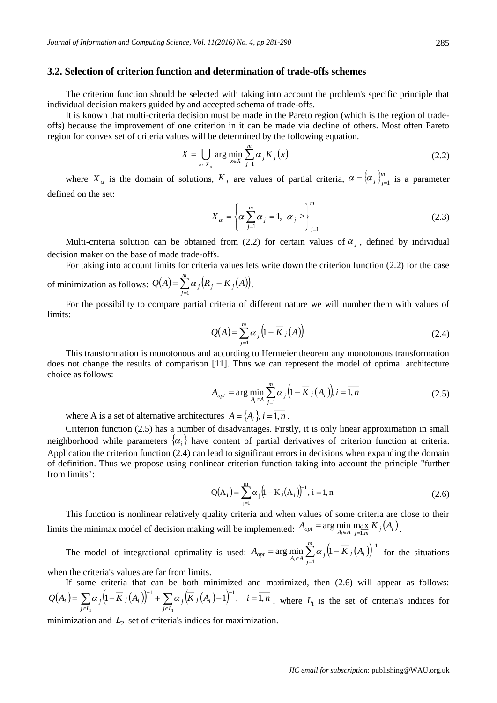#### **3.2. Selection of criterion function and determination of trade-offs schemes**

The criterion function should be selected with taking into account the problem's specific principle that individual decision makers guided by and accepted schema of trade-offs.

It is known that multi-criteria decision must be made in the Pareto region (which is the region of tradeoffs) because the improvement of one criterion in it can be made via decline of others. Most often Pareto region for convex set of criteria values will be determined by the following equation.

$$
X = \bigcup_{x \in X_{\alpha}} \arg \min_{x \in X} \sum_{j=1}^{m} \alpha_j K_j(x)
$$
 (2.2)

where  $X_{\alpha}$  is the domain of solutions,  $K_j$  are values of partial criteria,  $\alpha = \{\alpha_j\}_{j=1}^m$  $\alpha = {\alpha_j}_{j=1}^m$  is a parameter defined on the set:

$$
X_{\alpha} = \left\{ \alpha \Big| \sum_{j=1}^{m} \alpha_j = 1, \ \alpha_j \ge \right\}_{j=1}^{m}
$$
 (2.3)

Multi-criteria solution can be obtained from (2.2) for certain values of  $\alpha_j$ , defined by individual decision maker on the base of made trade-offs.

For taking into account limits for criteria values lets write down the criterion function (2.2) for the case =  $\gamma$   $\alpha$  :  $\alpha$  : *m*

of minimization as follows: 
$$
Q(A) = \sum_{j=1}^{m} \alpha_j (R_j - K_j(A))
$$
.

For the possibility to compare partial criteria of different nature we will number them with values of limits:

$$
Q(A) = \sum_{j=1}^{m} \alpha_j \left( 1 - \overline{K}_j(A) \right)
$$
 (2.4)

This transformation is monotonous and according to Hermeier theorem any monotonous transformation does not change the results of comparison [11]. Thus we can represent the model of optimal architecture choice as follows:

$$
A_{opt} = \arg\min_{A_i \in A} \sum_{j=1}^{m} \alpha_j \left(1 - \overline{K}_j(A_i)\right) i = \overline{1, n}
$$
 (2.5)

where A is a set of alternative architectures  $A = \{A_i\}, i = \overline{1, n}$ .

Criterion function (2.5) has a number of disadvantages. Firstly, it is only linear approximation in small neighborhood while parameters  $\{\alpha_i\}$  have content of partial derivatives of criterion function at criteria. Application the criterion function (2.4) can lead to significant errors in decisions when expanding the domain of definition. Thus we propose using nonlinear criterion function taking into account the principle "further from limits":

$$
Q(A_i) = \sum_{j=1}^{m} \alpha_j \left(1 - \overline{K}_j(A_i)\right)^{-1}, i = \overline{1,n}
$$
 (2.6)

This function is nonlinear relatively quality criteria and when values of some criteria are close to their limits the minimax model of decision making will be implemented:  $A_{opt} = \arg\min_{A_i \in A} \max_{j=1,m} K_j(A_i)$  $=$  arg min max  $\Lambda_j(A_i)$ .

The model of integrational optimality is used:  $A_{opt} = \arg\min_{A_i \in A} \sum_{j=1}^{m} \alpha_j (1 - \overline{K}_j(A_i))$ ┌  $=$  arg  $\lim_{A_i \in A} \sum_i \alpha_i$   $\mu$  – *j*  $A_{opt}$  = arg  $\min_{A_i \in A} \sum_{j=1}^n \alpha_j (1 - K_j) (A_i)$ arg min  $\sum_{i=1}^{m} \alpha_i (1 - \overline{K}_i(A_i))^{-1}$  for the situations

when the criteria's values are far from limits.

If some criteria that can be both minimized and maximized, then (2.6) will appear as follows:  $\mathcal{L}(A_i) = \sum_{i \in L} \alpha_j \left(1 - \overline{K}_j(A_i)\right)^{-1} + \sum_{i \in L} \alpha_j \left(\overline{K}_j(A_i) - 1\right)^{-1}$ ᠆ е  $=\sum \alpha_i (1-K_i(A_i))^{-1} + \sum \alpha_i (K_i(A_i)-1)^{-1}, i=$ 1  $J \subset L_1$  $(1-\overline{K}_{i}(A_{i}))^{-1} + \sum \alpha_{i} (\overline{K}_{i}(A_{i})-1)^{-1}, i = \overline{1},$ *j L*  $j \left( \mathbf{\Lambda} \right) \left( A_i \right)$ *j L*  $Q(A_i) = \sum_i \alpha_i (1 - K_i(A_i)) + \sum_i \alpha_i (K_i(A_i) - 1)$ ,  $i = 1, n$ , where  $L_i$  is the set of criteria's indices for

minimization and  $L<sub>2</sub>$  set of criteria's indices for maximization.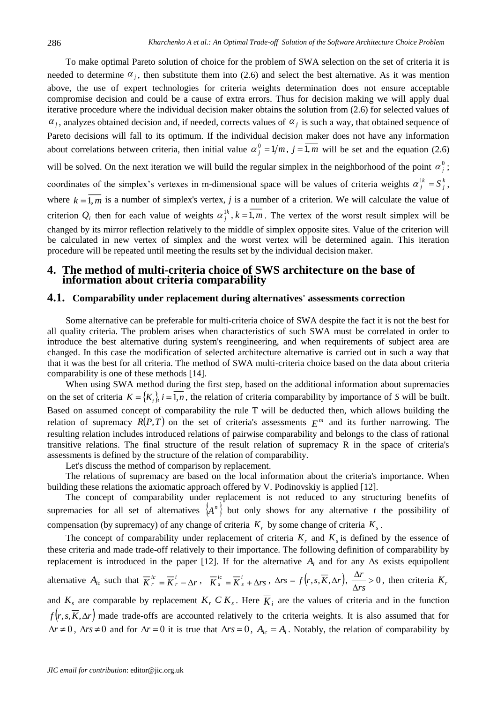To make optimal Pareto solution of choice for the problem of SWA selection on the set of criteria it is needed to determine  $\alpha_j$ , then substitute them into (2.6) and select the best alternative. As it was mention above, the use of expert technologies for criteria weights determination does not ensure acceptable compromise decision and could be a cause of extra errors. Thus for decision making we will apply dual iterative procedure where the individual decision maker obtains the solution from (2.6) for selected values of  $\alpha_j$ , analyzes obtained decision and, if needed, corrects values of  $\alpha_j$  is such a way, that obtained sequence of Pareto decisions will fall to its optimum. If the individual decision maker does not have any information about correlations between criteria, then initial value  $\alpha_j^0 = 1/m$ ,  $j = 1, m$  will be set and the equation (2.6) will be solved. On the next iteration we will build the regular simplex in the neighborhood of the point  $\alpha_j^0$ ; coordinates of the simplex's vertexes in m-dimensional space will be values of criteria weights  $\alpha_i^k = S_i^k$ *j*  $\alpha_j^{1k} = S_j^k$ , where  $k = 1, m$  is a number of simplex's vertex, *j* is a number of a criterion. We will calculate the value of criterion  $Q_i$  then for each value of weights  $\alpha_i^k$ ,  $k = 1, m$  $\alpha_j^{1k}$ ,  $k = 1, m$ . The vertex of the worst result simplex will be changed by its mirror reflection relatively to the middle of simplex opposite sites. Value of the criterion will be calculated in new vertex of simplex and the worst vertex will be determined again. This iteration procedure will be repeated until meeting the results set by the individual decision maker.

# **4. The method of multi-criteria choice of SWS architecture on the base of information about criteria comparability**

#### **4.1. Comparability under replacement during alternatives' assessments correction**

Some alternative can be preferable for multi-criteria choice of SWA despite the fact it is not the best for all quality criteria. The problem arises when characteristics of such SWA must be correlated in order to introduce the best alternative during system's reengineering, and when requirements of subject area are changed. In this case the modification of selected architecture alternative is carried out in such a way that that it was the best for all criteria. The method of SWA multi-criteria choice based on the data about criteria comparability is one of these methods [14].

When using SWA method during the first step, based on the additional information about supremacies on the set of criteria  $K = \{K_i\}$ ,  $i = \overline{1,n}$ , the relation of criteria comparability by importance of *S* will be built. Based on assumed concept of comparability the rule T will be deducted then, which allows building the relation of supremacy  $R(P,T)$  on the set of criteria's assessments  $E^m$  and its further narrowing. The resulting relation includes introduced relations of pairwise comparability and belongs to the class of rational transitive relations. The final structure of the result relation of supremacy R in the space of criteria's assessments is defined by the structure of the relation of comparability.

Let's discuss the method of comparison by replacement.

The relations of supremacy are based on the local information about the criteria's importance. When building these relations the axiomatic approach offered by V. Podinovskiy is applied [12].

The concept of comparability under replacement is not reduced to any structuring benefits of supremacies for all set of alternatives  $\{A^n\}$  but only shows for any alternative *t* the possibility of compensation (by supremacy) of any change of criteria  $K_r$  by some change of criteria  $K_s$ .

The concept of comparability under replacement of criteria  $K_r$  and  $K_s$  is defined by the essence of these criteria and made trade-off relatively to their importance. The following definition of comparability by replacement is introduced in the paper [12]. If for the alternative  $A_i$  and for any  $\Delta s$  exists equipollent

alternative 
$$
A_{ic}
$$
 such that  $\overline{K}_{r}^{ic} = \overline{K}_{r}^{i} - \Delta r$ ,  $\overline{K}_{s}^{ic} = \overline{K}_{s}^{i} + \Delta rs$ ,  $\Delta rs = f(r, s, \overline{K}, \Delta r)$ ,  $\frac{\Delta r}{\Delta rs} > 0$ , then criteria  $K_{r}$ 

and  $K_s$  are comparable by replacement  $K_r$   $CK_s$ . Here  $K_i$  are the values of criteria and in the function  $f(r, s, K, \Delta r)$  made trade-offs are accounted relatively to the criteria weights. It is also assumed that for  $\Delta r \neq 0$ ,  $\Delta rs \neq 0$  and for  $\Delta r = 0$  it is true that  $\Delta rs = 0$ ,  $A_{ic} = A_i$ . Notably, the relation of comparability by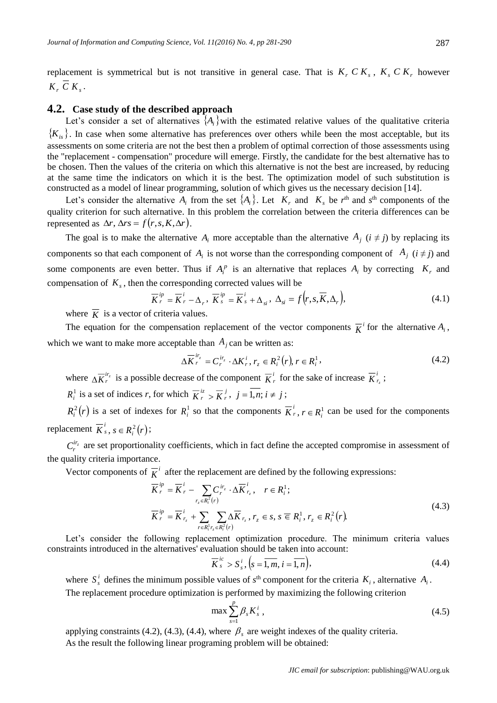replacement is symmetrical but is not transitive in general case. That is  $K_r C K_s$ ,  $K_s C K_r$  however  $K_r$  *C*  $K_s$ .

### **4.2. Case study of the described approach**

Let's consider a set of alternatives  $\{A_i\}$  with the estimated relative values of the qualitative criteria  ${K_{i,s}}$ . In case when some alternative has preferences over others while been the most acceptable, but its assessments on some criteria are not the best then a problem of optimal correction of those assessments using the "replacement - compensation" procedure will emerge. Firstly, the candidate for the best alternative has to be chosen. Then the values of the criteria on which this alternative is not the best are increased, by reducing at the same time the indicators on which it is the best. The optimization model of such substitution is constructed as a model of linear programming, solution of which gives us the necessary decision [14].

Let's consider the alternative  $A_i$  from the set  $\{A_i\}$ . Let  $K_r$  and  $K_s$  be  $r<sup>th</sup>$  and  $s<sup>th</sup>$  components of the quality criterion for such alternative. In this problem the correlation between the criteria differences can be represented as  $\Delta r$ ,  $\Delta rs = f(r, s, K, \Delta r)$ .

The goal is to make the alternative  $A_i$  more acceptable than the alternative  $A_j$  ( $i \neq j$ ) by replacing its components so that each component of  $A_i$  is not worse than the corresponding component of  $A_j$  ( $i \neq j$ ) and some components are even better. Thus if  $A_i^p$  is an alternative that replaces  $A_i$  by correcting  $K_r$  and compensation of  $K<sub>s</sub>$ , then the corresponding corrected values will be

$$
\overline{K}_r^{ip} = \overline{K}_r^{i} - \Delta_r, \ \overline{K}_s^{ip} = \overline{K}_s^{i} + \Delta_{si}, \ \Delta_{si} = f(r, s, \overline{K}, \Delta_r),
$$
\n(4.1)

where  $\overline{K}$  is a vector of criteria values.

The equation for the compensation replacement of the vector components  $\overline{K}^i$  for the alternative  $A_i$ , which we want to make more acceptable than  $A_j$  can be written as:

$$
\Delta \overline{K}_r^{i_{r_z}} = C_r^{i_{r_z}} \cdot \Delta K_r^i, r_z \in R_i^2(r), r \in R_i^1,
$$
\n(4.2)

where  $\Delta \overline{K}_r^{ir_z}$  is a possible decrease of the component  $\overline{K}_r^i$  for the sake of increase  $\overline{K}_{r_z}^i$ ;

 $R_i^1$  is a set of indices *r*, for which  $\overline{K}_r^{iz} > \overline{K}_r^j$ ,  $j = 1, n; i \neq j$ ;

 $R_i^2(r)$  is a set of indexes for  $R_i^1$  so that the components  $\overline{K}_r^i$ ,  $r \in R_i^1$  $\overline{K}^i_r$ ,  $r \in R^1$  can be used for the components replacement  $\overline{K}_s^i$ ,  $s \in R_i^2(r)$  $s, s \in R_i^2(r);$ 

 $C_r^{ir_z}$  are set proportionality coefficients, which in fact define the accepted compromise in assessment of the quality criteria importance.

Vector components of  $\overline{K}^i$  after the replacement are defined by the following expressions:

$$
\overline{K}_{r}^{ip} = \overline{K}_{r}^{i} - \sum_{r_{z} \in R_{i}^{2}(r)} C_{r}^{ir_{z}} \cdot \Delta \overline{K}_{r_{z}}^{i}, \quad r \in R_{i}^{1};
$$
\n
$$
\overline{K}_{r}^{ip} = \overline{K}_{r_{z}}^{i} + \sum_{r \in R_{i}^{1}r_{z} \in R_{i}^{2}(r)} \Delta \overline{K}_{r_{z}}, r_{z} \in s, s \in R_{i}^{1}, r_{z} \in R_{i}^{2}(r).
$$
\n(4.3)

Let's consider the following replacement optimization procedure. The minimum criteria values constraints introduced in the alternatives' evaluation should be taken into account:

$$
\overline{K}_{s}^{ic} > S_{s}^{i}, \left(s = \overline{1, m}, i = \overline{1, n}\right),\tag{4.4}
$$

where  $S_i^i$  defines the minimum possible values of  $s^{th}$  component for the criteria  $K_i$ , alternative  $A_i$ . The replacement procedure optimization is performed by maximizing the following criterion

$$
\max \sum_{s=1}^{p} \beta_s K_s^i \,, \tag{4.5}
$$

applying constraints (4.2), (4.3), (4.4), where  $\beta_s$  are weight indexes of the quality criteria. As the result the following linear programing problem will be obtained: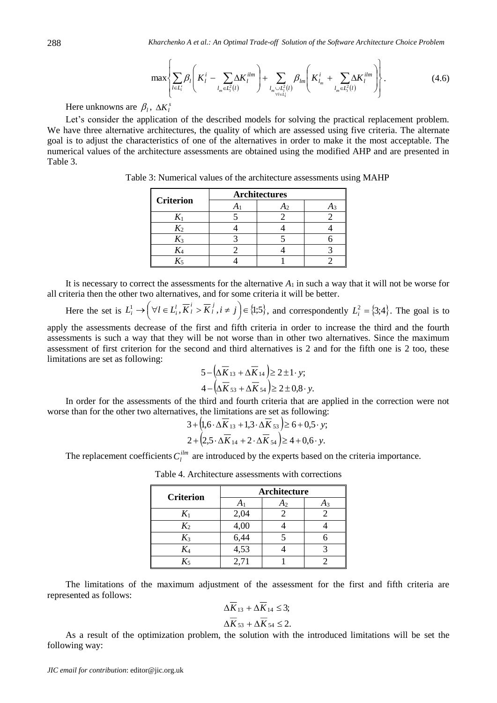$$
\max \left\{ \sum_{l \in L_i'} \beta_l \left( K_l^i - \sum_{l_m \in L_i^2(l)} \Delta K_l^{ilm} \right) + \sum_{\substack{l_m \cup L_i^2(l) \\ \forall l \in L_i^2}} \beta_{lm} \left( K_{l_m}^i + \sum_{l_m \in L_i^2(l)} \Delta K_l^{ilm} \right) \right\}.
$$
 (4.6)

Here unknowns are  $\beta_l$ ,  $\Delta K_l^s$ 

Let's consider the application of the described models for solving the practical replacement problem. We have three alternative architectures, the quality of which are assessed using five criteria. The alternate goal is to adjust the characteristics of one of the alternatives in order to make it the most acceptable. The numerical values of the architecture assessments are obtained using the modified AHP and are presented in Table 3.

| <b>Criterion</b> | Architectures |    |    |  |
|------------------|---------------|----|----|--|
|                  |               | A2 | Aз |  |
|                  |               |    |    |  |
| $K_2$            |               |    |    |  |
| $K_3$            |               |    |    |  |
|                  |               |    |    |  |
|                  |               |    |    |  |

Table 3: Numerical values of the architecture assessments using MAHP

It is necessary to correct the assessments for the alternative  $A_1$  in such a way that it will not be worse for all criteria then the other two alternatives, and for some criteria it will be better.

Here the set is  $L_i^1 \rightarrow \left(\forall l \in L_i^1, K_i^1 > K_i^1, i \neq j\right) \in \{1; 5\},\$  $L_i^1 \rightarrow \left(\forall l \in L_i^l, \overline{K}_l^i > \overline{K}_l^j, i \neq j\right)$ *i*  $L_i^1 \rightarrow [\forall l \in L_i^l, K_i^i > K_i^i, i \neq j] \in \{1,5\}$ , and correspondently  $L_i^2 = \{3,4\}$ . The goal is to

apply the assessments decrease of the first and fifth criteria in order to increase the third and the fourth assessments is such a way that they will be not worse than in other two alternatives. Since the maximum assessment of first criterion for the second and third alternatives is 2 and for the fifth one is 2 too, these limitations are set as following:

$$
5 - \left(\Delta \overline{K}_{13} + \Delta \overline{K}_{14}\right) \ge 2 \pm 1 \cdot y;
$$
  

$$
4 - \left(\Delta \overline{K}_{53} + \Delta \overline{K}_{54}\right) \ge 2 \pm 0.8 \cdot y.
$$

In order for the assessments of the third and fourth criteria that are applied in the correction were not worse than for the other two alternatives, the limitations are set as following:

$$
3 + (1, 6 \cdot \Delta \overline{K}_{13} + 1, 3 \cdot \Delta \overline{K}_{53}) \ge 6 + 0, 5 \cdot y;
$$
  

$$
2 + (2, 5 \cdot \Delta \overline{K}_{14} + 2 \cdot \Delta \overline{K}_{54}) \ge 4 + 0, 6 \cdot y.
$$

The replacement coefficients  $C_l^{ilm}$  are introduced by the experts based on the criteria importance.

| <b>Criterion</b> | Architecture |                |    |  |
|------------------|--------------|----------------|----|--|
|                  |              | A <sub>2</sub> | Аз |  |
| $K_1$            | 2,04         |                |    |  |
| $K_2$            | 4,00         |                |    |  |
| $K_3$            | 6,44         |                |    |  |
|                  | 4,53         |                |    |  |
| $K_{5}$          | 2.71         |                |    |  |

Table 4. Architecture assessments with corrections

The limitations of the maximum adjustment of the assessment for the first and fifth criteria are represented as follows:

$$
\Delta \overline{K}_{13} + \Delta \overline{K}_{14} \le 3;
$$
  

$$
\Delta \overline{K}_{53} + \Delta \overline{K}_{54} \le 2.
$$

As a result of the optimization problem, the solution with the introduced limitations will be set the following way: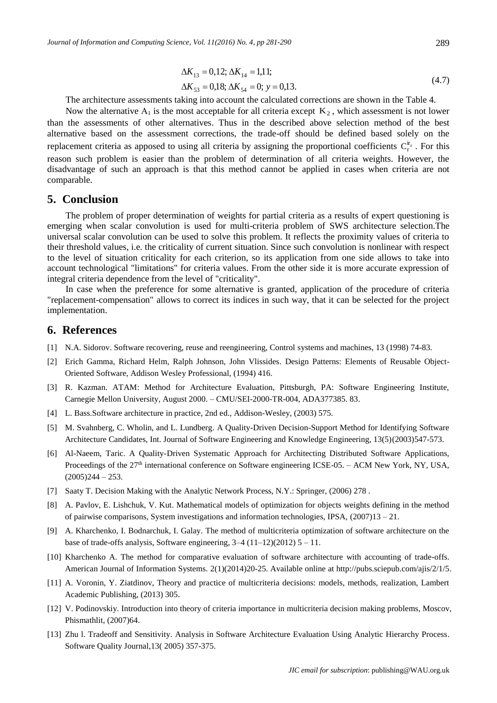$$
\Delta K_{13} = 0,12; \Delta K_{14} = 1,11; \Delta K_{53} = 0,18; \Delta K_{54} = 0; y = 0,13.
$$
\n(4.7)

The architecture assessments taking into account the calculated corrections are shown in the Table 4.

Now the alternative  $A_1$  is the most acceptable for all criteria except  $K_2$ , which assessment is not lower than the assessments of other alternatives. Thus in the described above selection method of the best alternative based on the assessment corrections, the trade-off should be defined based solely on the replacement criteria as apposed to using all criteria by assigning the proportional coefficients  $C_r^{\pi_z}$ . For this reason such problem is easier than the problem of determination of all criteria weights. However, the disadvantage of such an approach is that this method cannot be applied in cases when criteria are not comparable.

# **5. Conclusion**

The problem of proper determination of weights for partial criteria as a results of expert questioning is emerging when scalar convolution is used for multi-criteria problem of SWS architecture selection.The universal scalar convolution can be used to solve this problem. It reflects the proximity values of criteria to their threshold values, i.e. the criticality of current situation. Since such convolution is nonlinear with respect to the level of situation criticality for each criterion, so its application from one side allows to take into account technological "limitations" for criteria values. From the other side it is more accurate expression of integral criteria dependence from the level of "criticality".

In case when the preference for some alternative is granted, application of the procedure of criteria "replacement-compensation" allows to correct its indices in such way, that it can be selected for the project implementation.

## **6. References**

- [1] N.A. Sidorov. Software recovering, reuse and reengineering, Control systems and machines, 13 (1998) 74-83.
- [2] Erich Gamma, Richard Helm, Ralph Johnson, John Vlissides. Design Patterns: Elements of Reusable Object-Oriented Software, Addison Wesley Professional, (1994) 416.
- [3] R. Kazman. ATAM: Method for Architecture Evaluation, Pittsburgh, PA: Software Engineering Institute, Carnegie Mellon University, August 2000. – CMU/SEI-2000-TR-004, ADA377385. 83.
- [4] L. Bass.Software architecture in practice, 2nd ed., Addison-Wesley, (2003) 575.
- [5] M. Svahnberg, C. Wholin, and L. Lundberg. A Quality-Driven Decision-Support Method for Identifying Software Architecture Candidates, Int. Journal of Software Engineering and Knowledge Engineering, 13(5)(2003)547-573.
- [6] Al-Naeem, Taric. A Quality-Driven Systematic Approach for Architecting Distributed Software Applications, Proceedings of the 27<sup>th</sup> international conference on Software engineering ICSE-05. – ACM New York, NY, USA,  $(2005)244 - 253.$
- [7] Saaty T. Decision Making with the Analytic Network Process, N.Y.: Springer, (2006) 278 .
- [8] A. Pavlov, E. Lishchuk, V. Kut. Mathematical models of optimization for objects weights defining in the method of pairwise comparisons, System investigations and information technologies, IPSA, (2007)13 – 21.
- [9] A. Kharchenko, I. Bodnarchuk, I. Galay. The method of multicriteria optimization of software architecture on the base of trade-offs analysis, Software engineering, 3–4 (11–12)(2012) 5 – 11.
- [10] Kharchenko A. The method for comparative evaluation of software architecture with accounting of trade-offs. American Journal of Information Systems. 2(1)(2014)20-25. Available online at [http://pubs.sciepub.com/ajis/2/1/5.](http://pubs.sciepub.com/ajis/2/1/5)
- [11] A. Voronin, Y. Ziatdinov, Theory and practice of multicriteria decisions: models, methods, realization, Lambert Academic Publishing, (2013) 305.
- [12] V. Podinovskiy. Introduction into theory of criteria importance in multicriteria decision making problems, Moscov, Phismathlit, (2007)64.
- [13] Zhu l. Tradeoff and Sensitivity. Analysis in Software Architecture Evaluation Using Analytic Hierarchy Process. Software Quality Journal,13( 2005) 357-375.